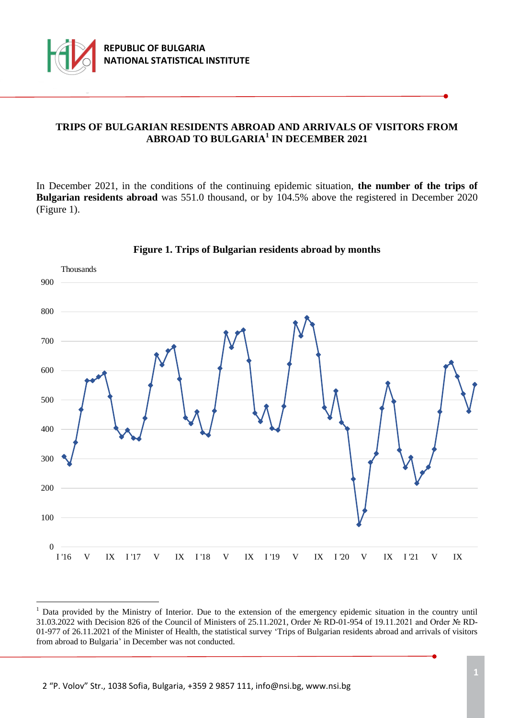

÷.

# **TRIPS OF BULGARIAN RESIDENTS ABROAD AND ARRIVALS OF VISITORS FROM ABROAD TO BULGARIA<sup>1</sup> IN DECEMBER 2021**

In December 2021, in the conditions of the continuing epidemic situation, **the number of the trips of Bulgarian residents abroad** was 551.0 thousand, or by 104.5% above the registered in December 2020 (Figure 1).



### **Figure 1. Trips of Bulgarian residents abroad by months**

<sup>&</sup>lt;sup>1</sup> Data provided by the Ministry of Interior. Due to the extension of the emergency epidemic situation in the country until 31.03.2022 with Decision 826 of the Council of Ministers of 25.11.2021, Order № RD-01-954 of 19.11.2021 and Order № RD-01-977 of 26.11.2021 of the Minister of Health, the statistical survey 'Trips of Bulgarian residents abroad and arrivals of visitors from abroad to Bulgaria' in December was not conducted.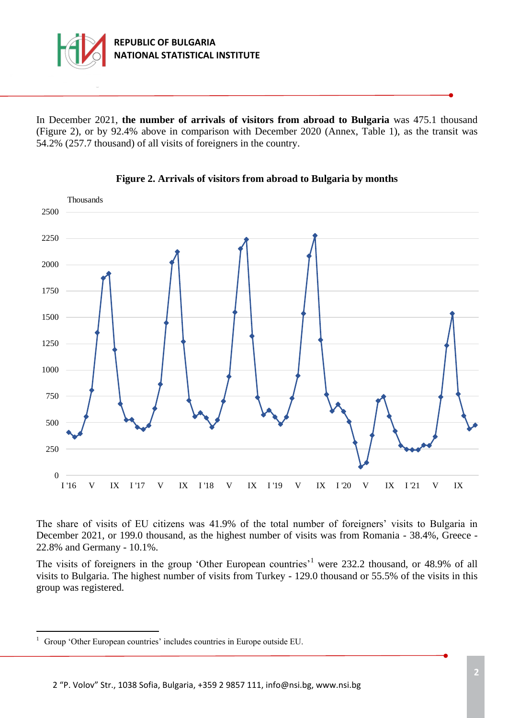

In December 2021, **the number of arrivals of visitors from abroad to Bulgaria** was 475.1 thousand (Figure 2), or by 92.4% above in comparison with December 2020 (Annex, Table 1), as the transit was 54.2% (257.7 thousand) of all visits of foreigners in the country.





The share of visits of ЕU citizens was 41.9% of the total number of foreigners' visits to Bulgaria in December 2021, or 199.0 thousand, as the highest number of visits was from Romania - 38.4%, Greece - 22.8% and Germany - 10.1%.

The visits of foreigners in the group 'Other European countries'<sup>1</sup> were 232.2 thousand, or 48.9% of all visits to Bulgaria. The highest number of visits from Turkey - 129.0 thousand or 55.5% of the visits in this group was registered.

÷.

<sup>&</sup>lt;sup>1</sup> Group 'Other European countries' includes countries in Europe outside EU.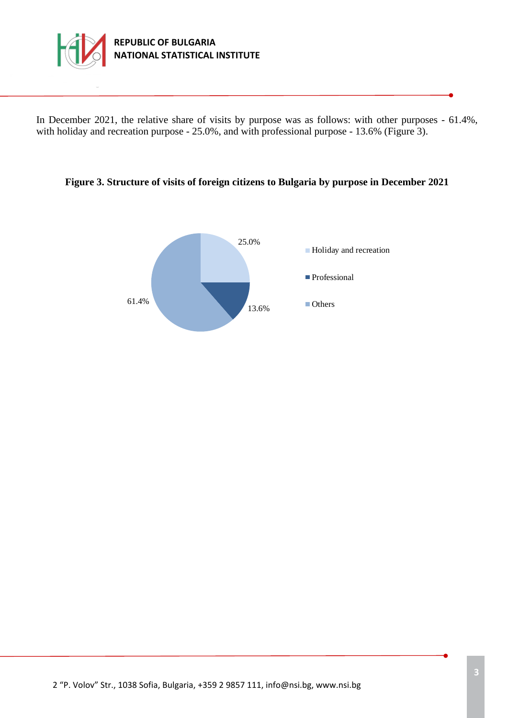

In December 2021, the relative share of visits by purpose was as follows: with other purposes - 61.4%, with holiday and recreation purpose - 25.0%, and with professional purpose - 13.6% (Figure 3).

### **Figure 3. Structure of visits of foreign citizens to Bulgaria by purpose in December 2021**

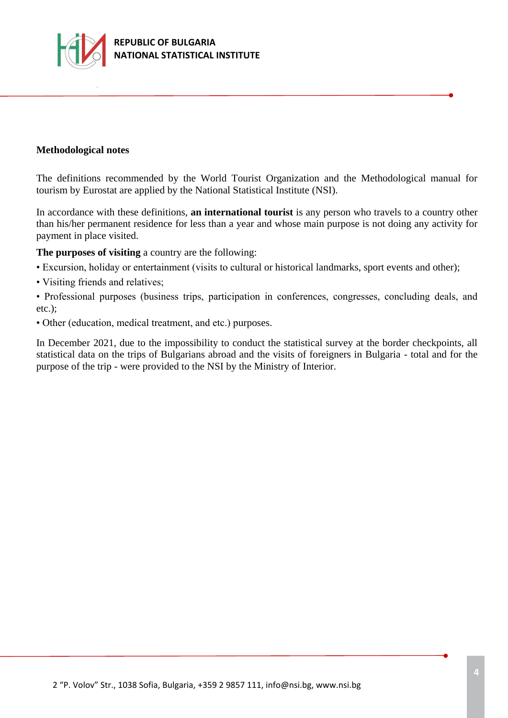

### **Methodological notes**

The definitions recommended by the World Tourist Organization and the Methodological manual for tourism by Eurostat are applied by the National Statistical Institute (NSI).

In accordance with these definitions, **an international tourist** is any person who travels to a country other than his/her permanent residence for less than a year and whose main purpose is not doing any activity for payment in place visited.

**The purposes of visiting** a country are the following:

- Excursion, holiday or entertainment (visits to cultural or historical landmarks, sport events and other);
- Visiting friends and relatives;

• Professional purposes (business trips, participation in conferences, congresses, concluding deals, and etc.);

• Other (education, medical treatment, and etc.) purposes.

In December 2021, due to the impossibility to conduct the statistical survey at the border checkpoints, all statistical data on the trips of Bulgarians abroad and the visits of foreigners in Bulgaria - total and for the purpose of the trip - were provided to the NSI by the Ministry of Interior.